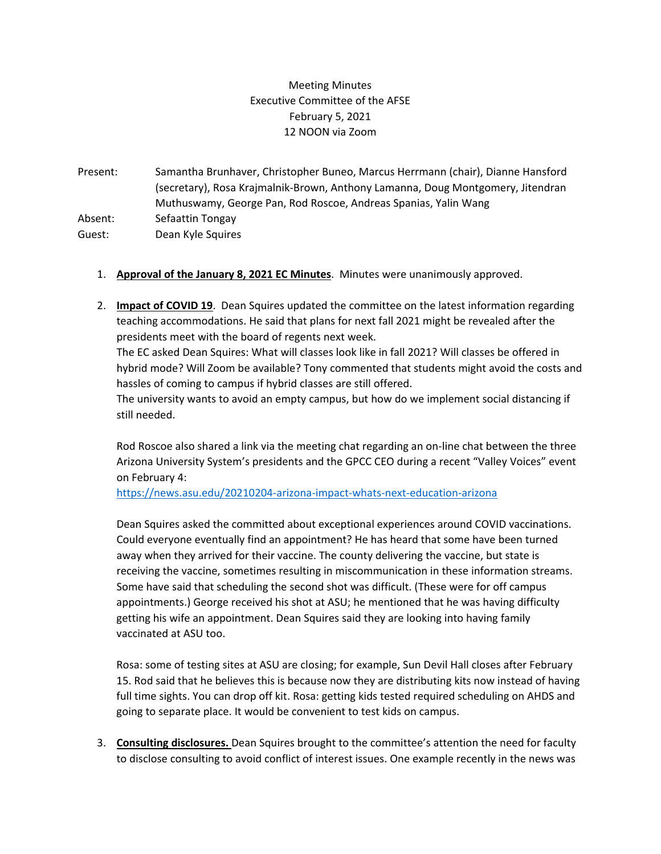## Meeting Minutes Executive Committee of the AFSE February 5, 2021 12 NOON via Zoom

Present: Samantha Brunhaver, Christopher Buneo, Marcus Herrmann (chair), Dianne Hansford (secretary), Rosa Krajmalnik-Brown, Anthony Lamanna, Doug Montgomery, Jitendran Muthuswamy, George Pan, Rod Roscoe, Andreas Spanias, Yalin Wang Absent: Sefaattin Tongay Guest: Dean Kyle Squires

- 1. **Approval of the January 8, 2021 EC Minutes**. Minutes were unanimously approved.
- 2. **Impact of COVID 19**. Dean Squires updated the committee on the latest information regarding teaching accommodations. He said that plans for next fall 2021 might be revealed after the presidents meet with the board of regents next week.

The EC asked Dean Squires: What will classes look like in fall 2021? Will classes be offered in hybrid mode? Will Zoom be available? Tony commented that students might avoid the costs and hassles of coming to campus if hybrid classes are still offered.

The university wants to avoid an empty campus, but how do we implement social distancing if still needed.

Rod Roscoe also shared a link via the meeting chat regarding an on-line chat between the three Arizona University System's presidents and the GPCC CEO during a recent "Valley Voices" event on February 4:

<https://news.asu.edu/20210204-arizona-impact-whats-next-education-arizona>

Dean Squires asked the committed about exceptional experiences around COVID vaccinations. Could everyone eventually find an appointment? He has heard that some have been turned away when they arrived for their vaccine. The county delivering the vaccine, but state is receiving the vaccine, sometimes resulting in miscommunication in these information streams. Some have said that scheduling the second shot was difficult. (These were for off campus appointments.) George received his shot at ASU; he mentioned that he was having difficulty getting his wife an appointment. Dean Squires said they are looking into having family vaccinated at ASU too.

Rosa: some of testing sites at ASU are closing; for example, Sun Devil Hall closes after February 15. Rod said that he believes this is because now they are distributing kits now instead of having full time sights. You can drop off kit. Rosa: getting kids tested required scheduling on AHDS and going to separate place. It would be convenient to test kids on campus.

3. **Consulting disclosures.** Dean Squires brought to the committee's attention the need for faculty to disclose consulting to avoid conflict of interest issues. One example recently in the news was